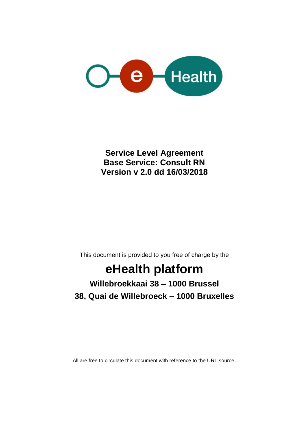

**Service Level Agreement Base Service: Consult RN Version v 2.0 dd 16/03/2018**

This document is provided to you free of charge by the

# **eHealth platform**

## **Willebroekkaai 38 – 1000 Brussel 38, Quai de Willebroeck – 1000 Bruxelles**

All are free to circulate this document with reference to the URL source.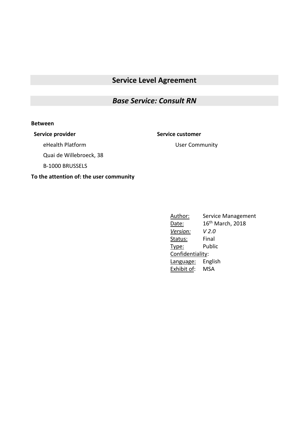### **Service Level Agreement**

#### *Base Service: Consult RN*

#### **Between**

**Service provider Service customer**

User Community

eHealth Platform

Quai de Willebroeck, 38

B-1000 BRUSSELS

#### **To the attention of: the user community**

Author: Service Management Date: 16<sup>th</sup> March, 2018 *Version: V 2.0* Status: Final Type: Public Confidentiality: Language: English Exhibit of: MSA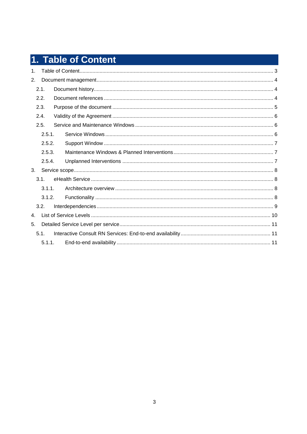# 1. Table of Content

| 1. |           |  |  |
|----|-----------|--|--|
| 2. |           |  |  |
|    | 2.1.      |  |  |
|    | 2.2.      |  |  |
|    | 2.3.      |  |  |
|    | 2.4.      |  |  |
|    | 2.5.      |  |  |
|    | 2.5.1.    |  |  |
|    | 2.5.2.    |  |  |
|    | 2.5.3.    |  |  |
|    | 2.5.4.    |  |  |
| 3. |           |  |  |
|    | 3.1.      |  |  |
|    | $3.1.1$ . |  |  |
|    | 3.1.2.    |  |  |
|    | 3.2.      |  |  |
| 4. |           |  |  |
| 5. |           |  |  |
|    | 5.1.      |  |  |
|    | 5.1.1.    |  |  |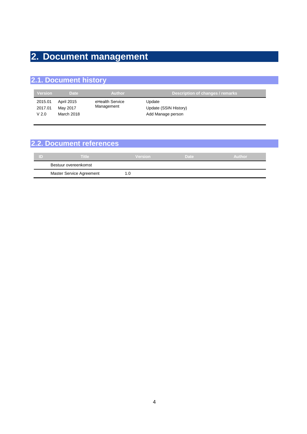### **2. Document management**

### **2.1. Document history**

| <b>Version</b>                         | <b>Date</b>                          | <b>Author</b>                 | Description of changes / remarks                     |
|----------------------------------------|--------------------------------------|-------------------------------|------------------------------------------------------|
| 2015.01<br>2017.01<br>V <sub>2.0</sub> | April 2015<br>May 2017<br>March 2018 | eHealth Service<br>Management | Update<br>Update (SSIN History)<br>Add Manage person |

### **2.2. Document references ID Title Version Date Author** Bestuur overeenkomst Master Service Agreement 1.0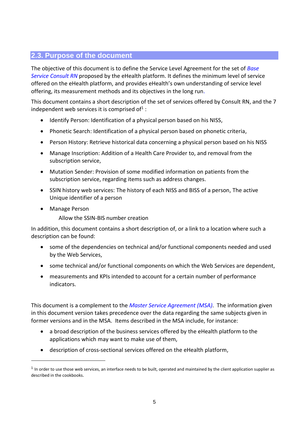### **2.3. Purpose of the document**

The objective of this document is to define the Service Level Agreement for the set of *Base Service Consult RN* proposed by the eHealth platform. It defines the minimum level of service offered on the eHealth platform, and provides eHealth's own understanding of service level offering, its measurement methods and its objectives in the long run.

This document contains a short description of the set of services offered by Consult RN, and the 7 independent web services it is comprised of<sup>1</sup>:

- [Identify](https://www.ehealth.fgov.be/fr/page_menu/website/home/platform/sources/nationalregister.html#01#01) Person: Identification of a physical person based on his NISS,
- [Phonetic](https://www.ehealth.fgov.be/fr/page_menu/website/home/platform/sources/nationalregister.html#02#02) Search: Identification of a physical person based on phonetic criteria,
- Person History: Retrieve historical data concerning a physical person based on his NISS
- Manage [Inscription:](https://www.ehealth.fgov.be/fr/page_menu/website/home/platform/sources/nationalregister.html#03#03) Addition of a Health Care Provider to, and removal from the subscription service,
- [Mutation](https://www.ehealth.fgov.be/fr/page_menu/website/home/platform/sources/nationalregister.html#04#04) Sender: Provision of some modified information on patients from the subscription service, regarding items such as address changes.
- SSIN history web services: The history of each NISS and BISS of a person, The active Unique identifier of a person
- Manage Person

-

Allow the SSIN-BIS number creation

In addition, this document contains a short description of, or a link to a location where such a description can be found:

- some of the dependencies on technical and/or functional components needed and used by the Web Services,
- some technical and/or functional components on which the Web Services are dependent,
- measurements and KPIs intended to account for a certain number of performance indicators.

This document is a complement to the *Master Service Agreement (MSA)*. The information given in this document version takes precedence over the data regarding the same subjects given in former versions and in the MSA. Items described in the MSA include, for instance:

- a broad description of the business services offered by the eHealth platform to the applications which may want to make use of them,
- description of cross-sectional services offered on the eHealth platform,

<sup>&</sup>lt;sup>1</sup> In order to use those web services, an interface needs to be built, operated and maintained by the client application supplier as described in the cookbooks.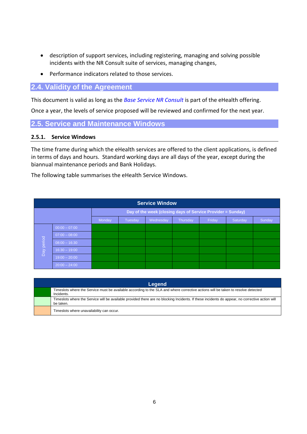- description of support services, including registering, managing and solving possible incidents with the NR Consult suite of services, managing changes,
- Performance indicators related to those services.

#### **2.4. Validity of the Agreement**

This document is valid as long as the *Base Service NR Consult* is part of the eHealth offering.

Once a year, the levels of service proposed will be reviewed and confirmed for the next year.

**2.5. Service and Maintenance Windows**

#### **2.5.1. Service Windows**

The time frame during which the eHealth services are offered to the client applications, is defined in terms of days and hours. Standard working days are all days of the year, except during the biannual maintenance periods and Bank Holidays.

The following table summarises the eHealth Service Windows.

|                                                                  | <b>Service Window</b> |  |  |  |  |  |        |  |  |
|------------------------------------------------------------------|-----------------------|--|--|--|--|--|--------|--|--|
| Day of the week (closing days of Service Provider = Sunday)      |                       |  |  |  |  |  |        |  |  |
| Friday<br>Wednesday<br>Thursday<br>Saturday<br>Monday<br>Tuesday |                       |  |  |  |  |  | Sunday |  |  |
|                                                                  | $00:00 - 07:00$       |  |  |  |  |  |        |  |  |
|                                                                  | $07:00 - 08:00$       |  |  |  |  |  |        |  |  |
| Day period                                                       | $08:00 - 16:30$       |  |  |  |  |  |        |  |  |
|                                                                  | $16:30 - 19:00$       |  |  |  |  |  |        |  |  |
|                                                                  | $19:00 - 20:00$       |  |  |  |  |  |        |  |  |
|                                                                  | $20:00 - 24:00$       |  |  |  |  |  |        |  |  |

| Legend                                                                                                                                                       |
|--------------------------------------------------------------------------------------------------------------------------------------------------------------|
| Timeslots where the Service must be available according to the SLA and where corrective actions will be taken to resolve detected<br>Incidents.              |
| Timeslots where the Service will be available provided there are no blocking Incidents. If these incidents do appear, no corrective action will<br>be taken. |
| Timeslots where unavailability can occur.                                                                                                                    |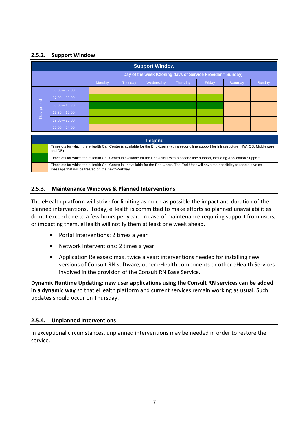#### **2.5.2. Support Window**

| <b>Support Window</b>                                       |                                                                                                                                                                                             |        |         |               |          |        |          |        |
|-------------------------------------------------------------|---------------------------------------------------------------------------------------------------------------------------------------------------------------------------------------------|--------|---------|---------------|----------|--------|----------|--------|
| Day of the week (Closing days of Service Provider = Sunday) |                                                                                                                                                                                             |        |         |               |          |        |          |        |
|                                                             |                                                                                                                                                                                             | Monday | Tuesday | Wednesday     | Thursday | Friday | Saturday | Sunday |
|                                                             | $00:00 - 07:00$                                                                                                                                                                             |        |         |               |          |        |          |        |
|                                                             | $07:00 - 08:00$                                                                                                                                                                             |        |         |               |          |        |          |        |
| Day period                                                  | $08:00 - 16:30$                                                                                                                                                                             |        |         |               |          |        |          |        |
|                                                             | $16:30 - 19:00$                                                                                                                                                                             |        |         |               |          |        |          |        |
|                                                             | $19:00 - 20:00$                                                                                                                                                                             |        |         |               |          |        |          |        |
|                                                             | $20:00 - 24:00$                                                                                                                                                                             |        |         |               |          |        |          |        |
|                                                             |                                                                                                                                                                                             |        |         |               |          |        |          |        |
|                                                             |                                                                                                                                                                                             |        |         | <b>Legend</b> |          |        |          |        |
|                                                             | Timeslots for which the eHealth Call Center is available for the End-Users with a second line support for Infrastructure (HW, OS, Middleware<br>and DB)                                     |        |         |               |          |        |          |        |
|                                                             | Timeslots for which the eHealth Call Center is available for the End-Users with a second line support, including Application Support                                                        |        |         |               |          |        |          |        |
|                                                             | Timeslots for which the eHealth Call Center is unavailable for the End-Users. The End-User will have the possibility to record a voice<br>message that will be treated on the next Workday. |        |         |               |          |        |          |        |

#### **2.5.3. Maintenance Windows & Planned Interventions**

The eHealth platform will strive for limiting as much as possible the impact and duration of the planned interventions. Today, eHealth is committed to make efforts so planned unavailabilities do not exceed one to a few hours per year. In case of maintenance requiring support from users, or impacting them, eHealth will notify them at least one week ahead.

- Portal Interventions: 2 times a year
- Network Interventions: 2 times a year
- Application Releases: max. twice a year: interventions needed for installing new versions of Consult RN software, other eHealth components or other eHealth Services involved in the provision of the Consult RN Base Service.

**Dynamic Runtime Updating: new user applications using the Consult RN services can be added in a dynamic way** so that eHealth platform and current services remain working as usual. Such updates should occur on Thursday.

#### **2.5.4. Unplanned Interventions**

In exceptional circumstances, unplanned interventions may be needed in order to restore the service.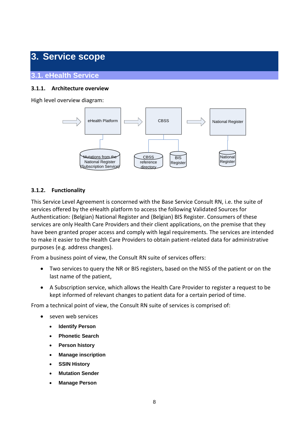### **3. Service scope**

#### **3.1. eHealth Service**

#### **3.1.1. Architecture overview**

High level overview diagram:



#### **3.1.2. Functionality**

This Service Level Agreement is concerned with the Base Service Consult RN, i.e. the suite of services offered by the eHealth platform to access the following Validated Sources for Authentication: (Belgian) National Register and (Belgian) BIS Register. Consumers of these services are only Health Care Providers and their client applications, on the premise that they have been granted proper access and comply with legal requirements. The services are intended to make it easier to the Health Care Providers to obtain patient-related data for administrative purposes (e.g. address changes).

From a business point of view, the Consult RN suite of services offers:

- Two services to query the NR or BIS registers, based on the NISS of the patient or on the last name of the patient,
- A Subscription service, which allows the Health Care Provider to register a request to be kept informed of relevant changes to patient data for a certain period of time.

From a technical point of view, the Consult RN suite of services is comprised of:

- seven web services
	- **Identify Person**
	- **Phonetic Search**
	- **Person history**
	- **Manage inscription**
	- **SSIN History**
	- **Mutation Sender**
	- **Manage Person**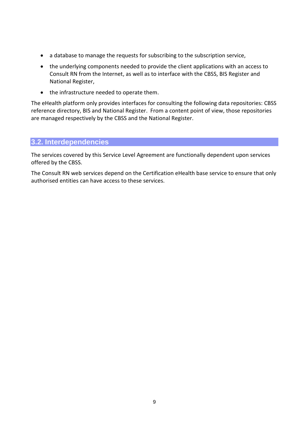- a database to manage the requests for subscribing to the subscription service,
- the underlying components needed to provide the client applications with an access to Consult RN from the Internet, as well as to interface with the CBSS, BIS Register and National Register,
- the infrastructure needed to operate them.

The eHealth platform only provides interfaces for consulting the following data repositories: CBSS reference directory, BIS and National Register. From a content point of view, those repositories are managed respectively by the CBSS and the National Register.

#### **3.2. Interdependencies**

The services covered by this Service Level Agreement are functionally dependent upon services offered by the CBSS.

The Consult RN web services depend on the Certification eHealth base service to ensure that only authorised entities can have access to these services.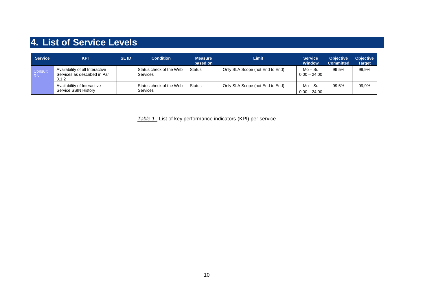# **4. List of Service Levels**

| <b>Service</b>       | <b>KPI</b>                                                               | <b>SLID</b> | <b>Condition</b>                           | Measure<br>based on | <b>Limit</b>                    | <b>Service</b><br><b>Window</b> | <b>Objective</b><br><b>Committed</b> | <b>Objective</b><br><b>Target</b> |
|----------------------|--------------------------------------------------------------------------|-------------|--------------------------------------------|---------------------|---------------------------------|---------------------------------|--------------------------------------|-----------------------------------|
| Consult<br><b>RN</b> | Availability of all Interactive<br>Services as described in Par<br>3.1.2 |             | Status check of the Web<br>Services        | <b>Status</b>       | Only SLA Scope (not End to End) | Mo – Su<br>$0:00 - 24:00$       | 99.5%                                | 99,9%                             |
|                      | Availability of Interactive<br>Service SSIN History                      |             | Status check of the Web<br><b>Services</b> | <b>Status</b>       | Only SLA Scope (not End to End) | Mo – Su<br>$0:00 - 24:00$       | 99.5%                                | 99,9%                             |

*Table 1 :* List of key performance indicators (KPI) per service